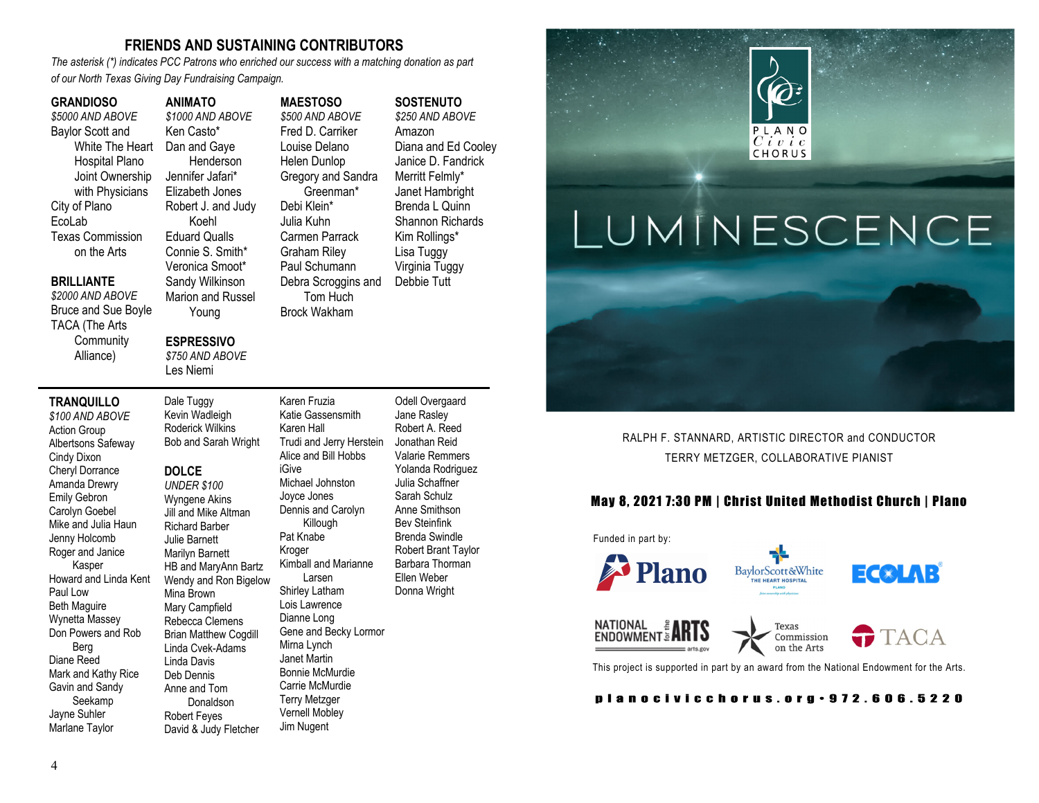### **FRIENDS AND SUSTAINING CONTRIBUTORS**

*The asterisk (\*) indicates PCC Patrons who enriched our success with a matching donation as part of our North Texas Giving Day Fundraising Campaign.* 

#### **GRANDIOSO**

*\$5000 AND ABOVE*  Baylor Scott and White The Heart Hospital Plano Joint Ownership with Physicians City of Plano EcoLab Texas Commission on the Arts

#### **ANIMATO** *\$1000 AND ABOVE*  Ken Casto\* Dan and Gaye Henderson Jennifer Jafari\* Elizabeth Jones **MAESTOSO** *\$500 AND ABOVE*  Fred D. Carriker

Robert J. and Judy Connie S. Smith\* Veronica Smoot\* Sandy Wilkinson Marion and Russel Louise Delano Helen Dunlop Gregory and Sandra Greenman\* Debi Klein\* Julia Kuhn Carmen Parrack Graham Riley Paul Schumann Debra Scroggins and Tom Huch Brock Wakham

#### **ESPRESSIVO**

Young

Koehl Eduard Qualls

*\$750 AND ABOVE*  Les Niemi

Dale Tuggy

#### **TRANQUILLO**

**BRILLIANTE** *\$2000 AND ABOVE*  Bruce and Sue Boyle TACA (The Arts **Community** Alliance)

*\$100 AND ABOVE*  Action Group Albertsons Safeway Cindy Dixon Cheryl Dorrance Amanda Drewry Emily Gebron Carolyn Goebel Mike and Julia Haun Jenny Holcomb Roger and Janice Kasper Howard and Linda Kent Paul Low Beth Maguire Wynetta Massey Don Powers and Rob Berg Diane Reed Mark and Kathy Rice Gavin and Sandy Seekamp Jayne Suhler Marlane Taylor

#### Kevin Wadleigh Roderick Wilkins Bob and Sarah Wright **DOLCE** *UNDER \$100*  Wyngene Akins Jill and Mike Altman Richard Barber Julie Barnett Marilyn Barnett HB and MaryAnn Bartz Wendy and Ron Bigelow Mina Brown Mary Campfield Rebecca Clemens Brian Matthew Cogdill Linda Cvek-Adams Linda Davis

Deb Dennis Anne and Tom Donaldson Robert Feyes

David & Judy Fletcher Katie Gassensmith Karen Hall Trudi and Jerry Herstein Alice and Bill Hobbs iGive Michael Johnston Joyce Jones Dennis and Carolyn Killough Pat Knabe Kroger Kimball and Marianne Larsen Shirley Latham Lois Lawrence Dianne Long Gene and Becky Lormor Mirna Lynch Janet Martin Bonnie McMurdie Carrie McMurdie Terry Metzger Vernell Mobley Jim Nugent

Karen Fruzia

Odell Overgaard Jane Rasley Robert A. Reed Jonathan Reid Valarie Remmers Yolanda Rodriguez Julia Schaffner Sarah Schulz Anne Smithson Bev Steinfink Brenda Swindle Robert Brant Taylor Barbara Thorman Ellen Weber Donna Wright

**SOSTENUTO** *\$250 AND ABOVE*  Amazon

Diana and Ed Cooley Janice D. Fandrick Merritt Felmly\* Janet Hambright Brenda L Quinn Shannon Richards Kim Rollings\* Lisa Tuggy Virginia Tuggy Debbie Tutt



RALPH F. STANNARD, ARTISTIC DIRECTOR and CONDUCTOR TERRY METZGER, COLLABORATIVE PIANIST

#### May 8, 2021 7:30 PM | Christ United Methodist Church | Plano



This project is supported in part by an award from the National Endowment for the Arts.

planocivicchorus.org - 972.606.5220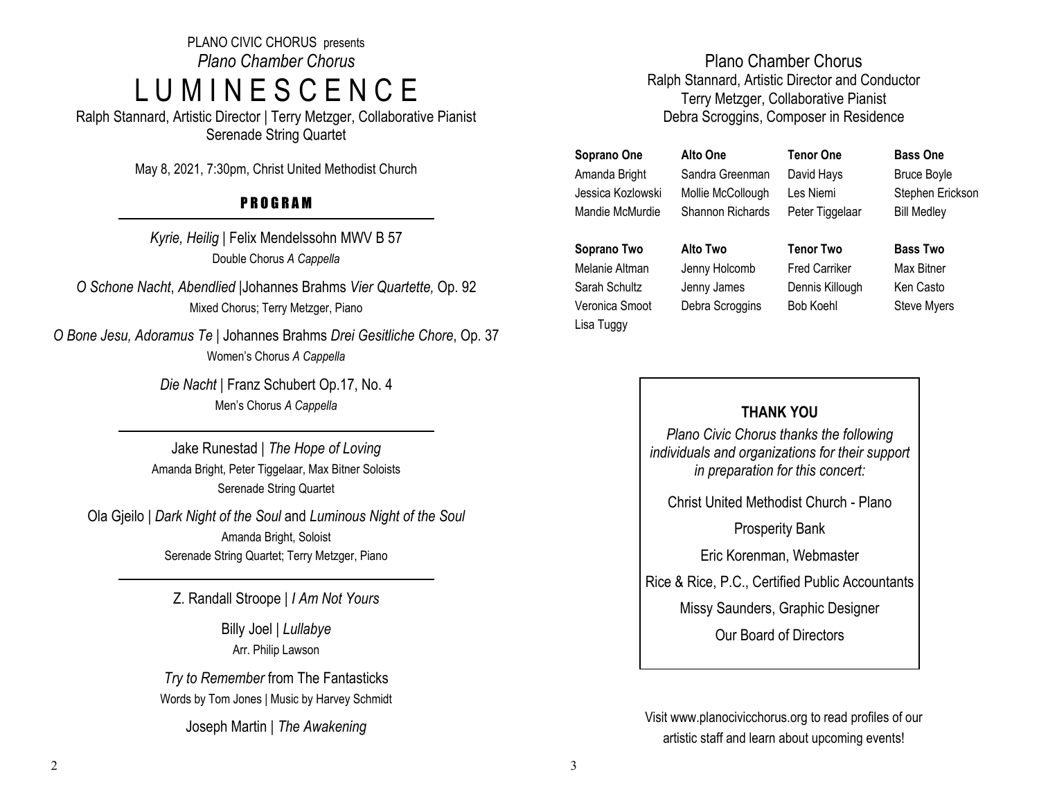PLANO CIVIC CHORUS presents *Plano Chamber Chorus* L U M I N E S C E N C E

Ralph Stannard, Artistic Director | Terry Metzger, Collaborative Pianist Serenade String Quartet

May 8, 2021, 7:30pm, Christ United Methodist Church

# P R O G R A M

*Kyrie, Heilig* | Felix Mendelssohn MWV B 57 Double Chorus *A Cappella*

*O Schone Nacht*, *Abendlied |*Johannes Brahms *Vier Quartette,* Op. 92 Mixed Chorus; Terry Metzger, Piano

*O Bone Jesu, Adoramus Te |* Johannes Brahms *Drei Gesitliche Chore*, Op. 37 Women's Chorus *A Cappella*

> *Die Nacht* | Franz Schubert Op.17, No. 4 Men's Chorus *A Cappella*

Jake Runestad | *The Hope of Loving* Amanda Bright, Peter Tiggelaar, Max Bitner Soloists Serenade String Quartet

Ola Gjeilo | *Dark Night of the Soul* and *Luminous Night of the Soul* Amanda Bright, Soloist Serenade String Quartet; Terry Metzger, Piano

Z. Randall Stroope | *I Am Not Yours*

Billy Joel | *Lullabye*  Arr. Philip Lawson

*Try to Remember* from The Fantasticks Words by Tom Jones | Music by Harvey Schmidt

Joseph Martin | *The Awakening*

## Plano Chamber Chorus Ralph Stannard, Artistic Director and Conductor Terry Metzger, Collaborative Pianist Debra Scroggins, Composer in Residence

**Soprano One**  Amanda Bright Jessica Kozlowski Mandie McMurdie

**Alto One** Sandra Greenman Mollie McCollough Shannon Richards

**Tenor One** David Hays Les Niemi Peter Tiggelaar

**Tenor Two** Fred Carriker Dennis Killough Bob Koehl

**Bass One** Bruce Boyle Stephen Erickson Bill Medley

**Soprano Two**  Melanie Altman Sarah Schultz Veronica Smoot Lisa Tuggy

**Alto Two** Jenny Holcomb Jenny James Debra Scroggins

**Bass Two** Max Bitner Ken Casto Steve Myers

## **THANK YOU**

*Plano Civic Chorus thanks the following individuals and organizations for their support in preparation for this concert:* 

Christ United Methodist Church - Plano

Prosperity Bank

Eric Korenman, Webmaster

Rice & Rice, P.C., Certified Public Accountants

Missy Saunders, Graphic Designer

Our Board of Directors

Visit www.planocivicchorus.org to read profiles of our artistic staff and learn about upcoming events!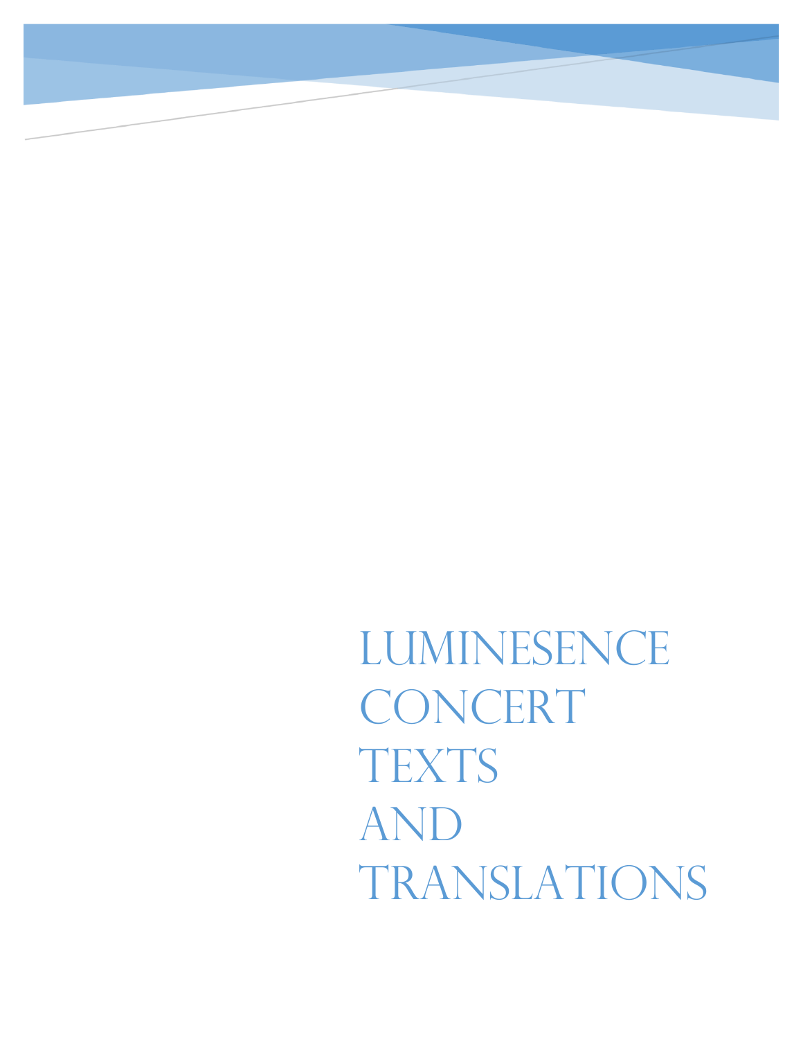LUMINESENCE CONCERT **TEXTS** AND TRANSLATIONS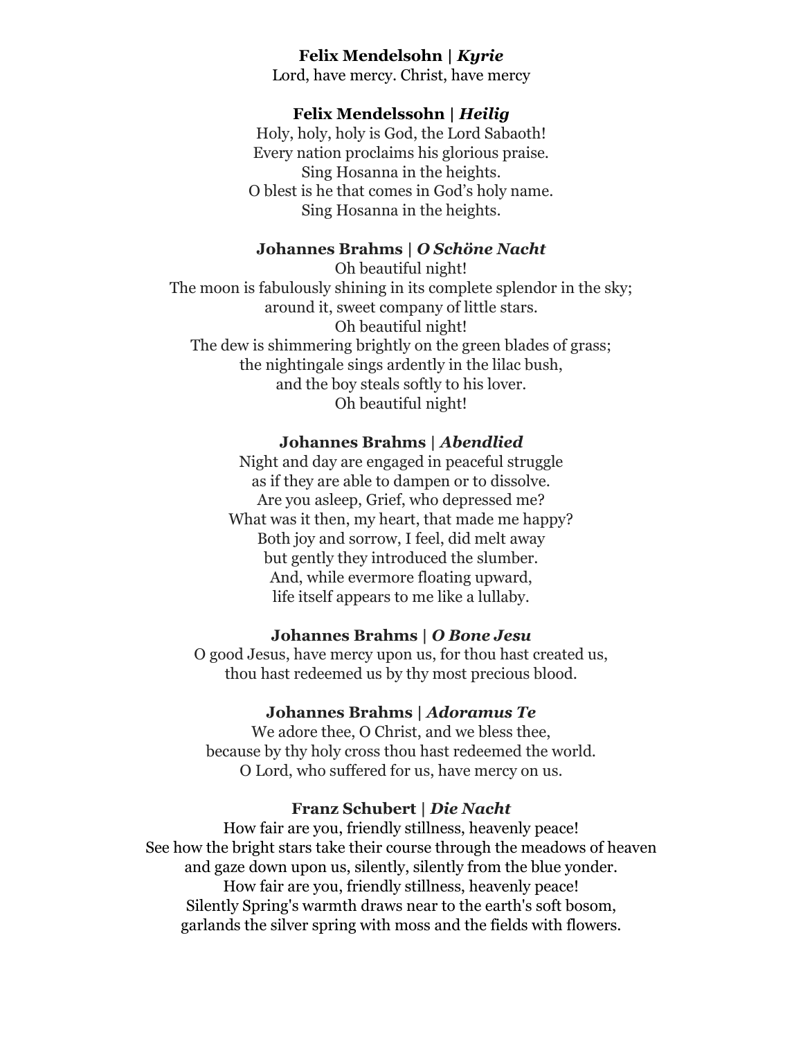## **Felix Mendelsohn |** *Kyrie*

Lord, have mercy. Christ, have mercy

#### **Felix Mendelssohn |** *Heilig*

Holy, holy, holy is God, the Lord Sabaoth! Every nation proclaims his glorious praise. Sing Hosanna in the heights. O blest is he that comes in God's holy name. Sing Hosanna in the heights.

### **Johannes Brahms |** *O Schöne Nacht*

Oh beautiful night! The moon is fabulously shining in its complete splendor in the sky; around it, sweet company of little stars. Oh beautiful night! The dew is shimmering brightly on the green blades of grass; the nightingale sings ardently in the lilac bush, and the boy steals softly to his lover. Oh beautiful night!

#### **Johannes Brahms |** *Abendlied*

Night and day are engaged in peaceful struggle as if they are able to dampen or to dissolve. Are you asleep, Grief, who depressed me? What was it then, my heart, that made me happy? Both joy and sorrow, I feel, did melt away but gently they introduced the slumber. And, while evermore floating upward, life itself appears to me like a lullaby.

#### **Johannes Brahms |** *O Bone Jesu*

O good Jesus, have mercy upon us, for thou hast created us, thou hast redeemed us by thy most precious blood.

### **Johannes Brahms |** *Adoramus Te*

We adore thee, O Christ, and we bless thee, because by thy holy cross thou hast redeemed the world. O Lord, who suffered for us, have mercy on us.

## **Franz Schubert |** *Die Nacht*

How fair are you, friendly stillness, heavenly peace! See how the bright stars take their course through the meadows of heaven and gaze down upon us, silently, silently from the blue yonder. How fair are you, friendly stillness, heavenly peace! Silently Spring's warmth draws near to the earth's soft bosom, garlands the silver spring with moss and the fields with flowers.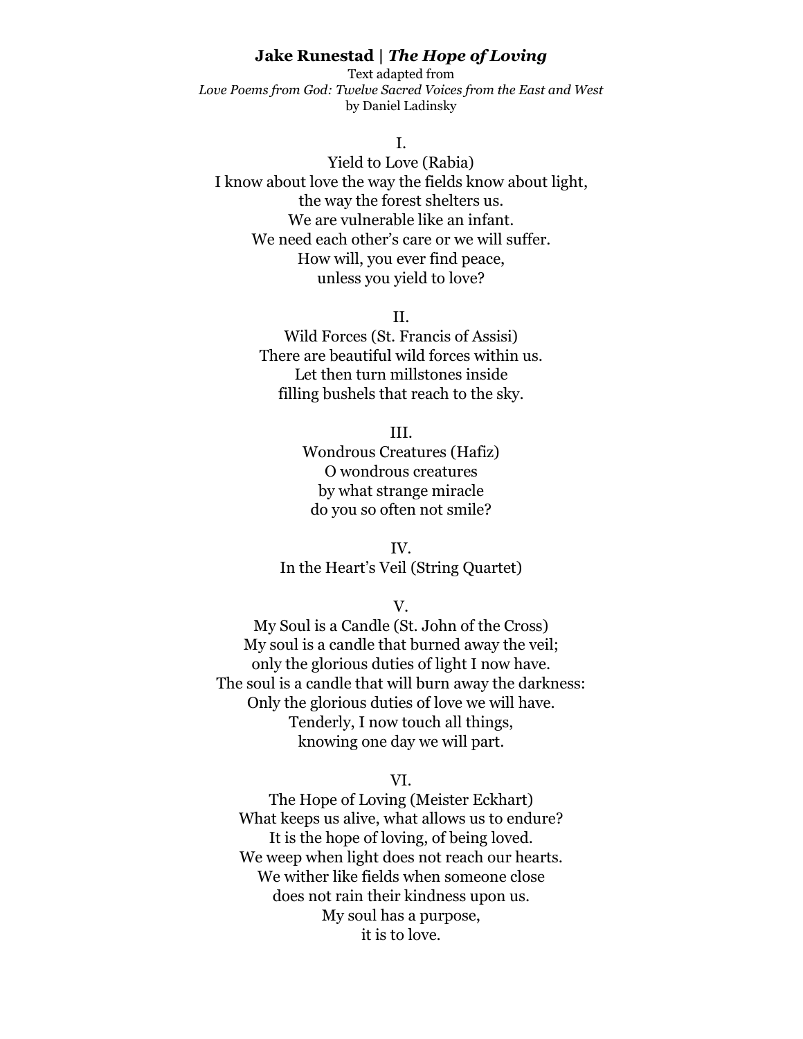### **Jake Runestad |** *The Hope of Loving*

Text adapted from *Love Poems from God: Twelve Sacred Voices from the East and West* by Daniel Ladinsky

I.

Yield to Love (Rabia) I know about love the way the fields know about light, the way the forest shelters us. We are vulnerable like an infant. We need each other's care or we will suffer. How will, you ever find peace, unless you yield to love?

II.

Wild Forces (St. Francis of Assisi) There are beautiful wild forces within us. Let then turn millstones inside filling bushels that reach to the sky.

III.

Wondrous Creatures (Hafiz) O wondrous creatures by what strange miracle do you so often not smile?

IV. In the Heart's Veil (String Quartet)

V.

My Soul is a Candle (St. John of the Cross) My soul is a candle that burned away the veil; only the glorious duties of light I now have. The soul is a candle that will burn away the darkness: Only the glorious duties of love we will have. Tenderly, I now touch all things, knowing one day we will part.

VI.

The Hope of Loving (Meister Eckhart) What keeps us alive, what allows us to endure? It is the hope of loving, of being loved. We weep when light does not reach our hearts. We wither like fields when someone close does not rain their kindness upon us. My soul has a purpose, it is to love.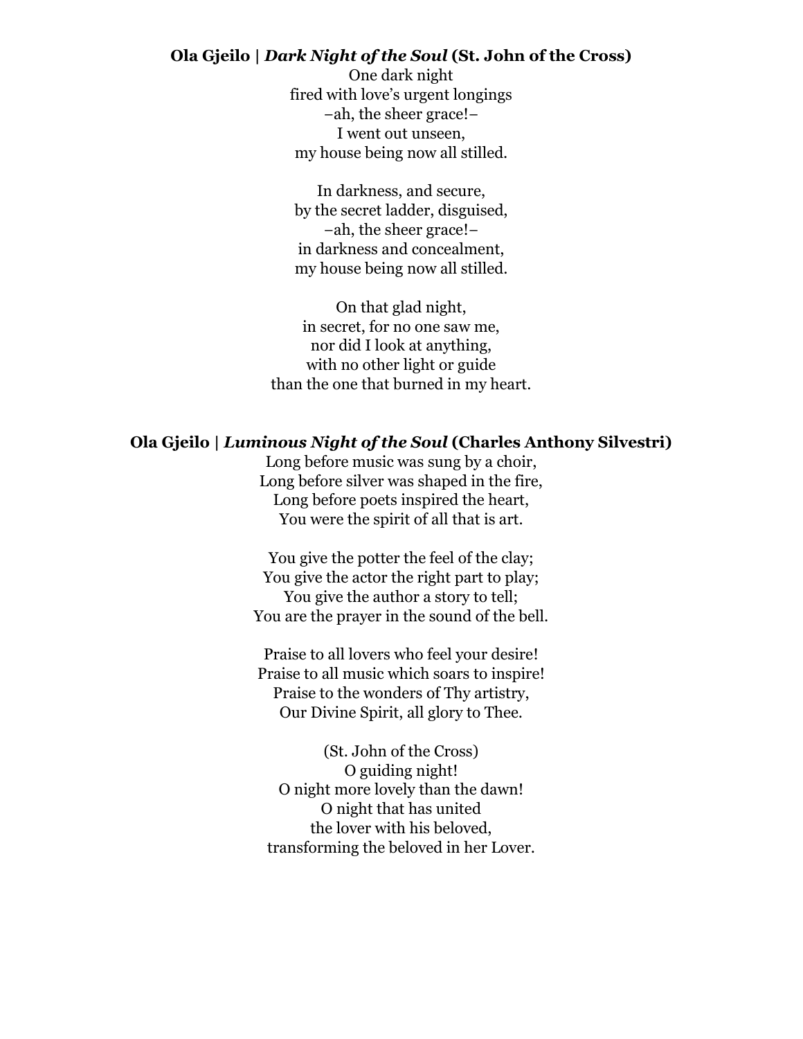## **Ola Gjeilo |** *Dark Night of the Soul* **(St. John of the Cross)**

One dark night fired with love's urgent longings −ah, the sheer grace!− I went out unseen, my house being now all stilled.

In darkness, and secure, by the secret ladder, disguised, −ah, the sheer grace!− in darkness and concealment, my house being now all stilled.

On that glad night, in secret, for no one saw me, nor did I look at anything, with no other light or guide than the one that burned in my heart.

### **Ola Gjeilo |** *Luminous Night of the Soul* **(Charles Anthony Silvestri)**

Long before music was sung by a choir, Long before silver was shaped in the fire, Long before poets inspired the heart, You were the spirit of all that is art.

You give the potter the feel of the clay; You give the actor the right part to play; You give the author a story to tell; You are the prayer in the sound of the bell.

Praise to all lovers who feel your desire! Praise to all music which soars to inspire! Praise to the wonders of Thy artistry, Our Divine Spirit, all glory to Thee.

(St. John of the Cross) O guiding night! O night more lovely than the dawn! O night that has united the lover with his beloved, transforming the beloved in her Lover.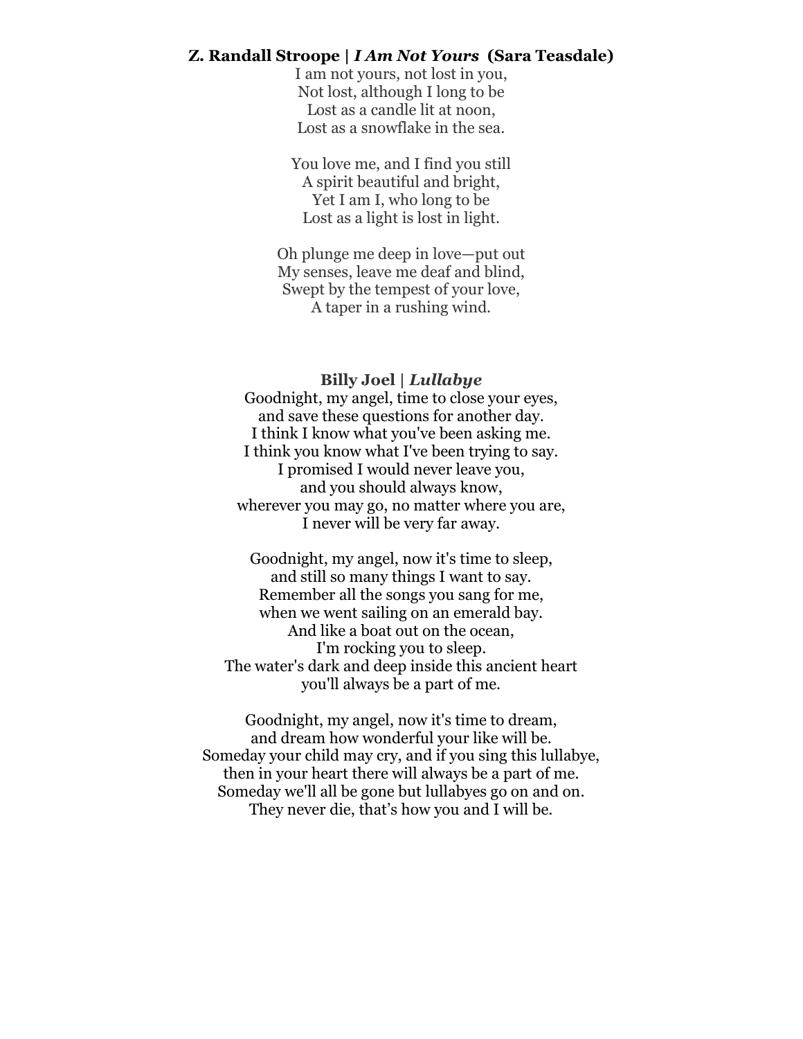#### **Z. Randall Stroope |** *I Am Not Yours* **(Sara Teasdale)**

I am not yours, not lost in you, Not lost, although I long to be Lost as a candle lit at noon, Lost as a snowflake in the sea.

You love me, and I find you still A spirit beautiful and bright, Yet I am I, who long to be Lost as a light is lost in light.

Oh plunge me deep in love—put out My senses, leave me deaf and blind, Swept by the tempest of your love, A taper in a rushing wind.

#### **Billy Joel |** *Lullabye*

Goodnight, my angel, time to close your eyes, and save these questions for another day. I think I know what you've been asking me. I think you know what I've been trying to say. I promised I would never leave you, and you should always know, wherever you may go, no matter where you are, I never will be very far away.

Goodnight, my angel, now it's time to sleep, and still so many things I want to say. Remember all the songs you sang for me, when we went sailing on an emerald bay. And like a boat out on the ocean, I'm rocking you to sleep. The water's dark and deep inside this ancient heart you'll always be a part of me.

Goodnight, my angel, now it's time to dream, and dream how wonderful your like will be. Someday your child may cry, and if you sing this lullabye, then in your heart there will always be a part of me. Someday we'll all be gone but lullabyes go on and on. They never die, that's how you and I will be.